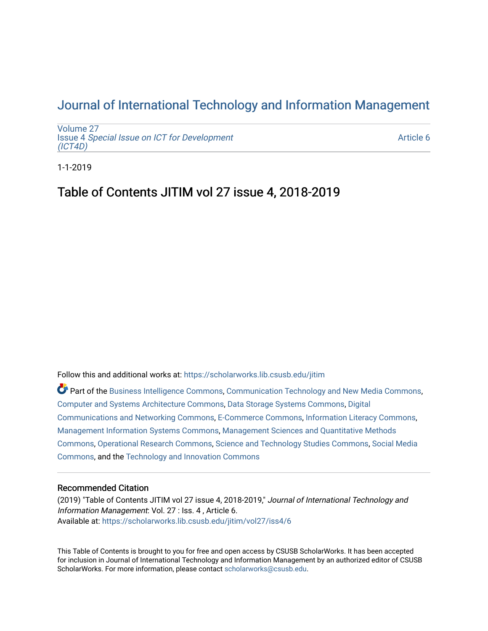## [Journal of International Technology and Information Management](https://scholarworks.lib.csusb.edu/jitim)

[Volume 27](https://scholarworks.lib.csusb.edu/jitim/vol27) Issue 4 [Special Issue on ICT for Development](https://scholarworks.lib.csusb.edu/jitim/vol27/iss4) [\(ICT4D\)](https://scholarworks.lib.csusb.edu/jitim/vol27/iss4) 

[Article 6](https://scholarworks.lib.csusb.edu/jitim/vol27/iss4/6) 

1-1-2019

## Table of Contents JITIM vol 27 issue 4, 2018-2019

Follow this and additional works at: [https://scholarworks.lib.csusb.edu/jitim](https://scholarworks.lib.csusb.edu/jitim?utm_source=scholarworks.lib.csusb.edu%2Fjitim%2Fvol27%2Fiss4%2F6&utm_medium=PDF&utm_campaign=PDFCoverPages) 

Part of the [Business Intelligence Commons,](http://network.bepress.com/hgg/discipline/1326?utm_source=scholarworks.lib.csusb.edu%2Fjitim%2Fvol27%2Fiss4%2F6&utm_medium=PDF&utm_campaign=PDFCoverPages) [Communication Technology and New Media Commons,](http://network.bepress.com/hgg/discipline/327?utm_source=scholarworks.lib.csusb.edu%2Fjitim%2Fvol27%2Fiss4%2F6&utm_medium=PDF&utm_campaign=PDFCoverPages) [Computer and Systems Architecture Commons](http://network.bepress.com/hgg/discipline/259?utm_source=scholarworks.lib.csusb.edu%2Fjitim%2Fvol27%2Fiss4%2F6&utm_medium=PDF&utm_campaign=PDFCoverPages), [Data Storage Systems Commons](http://network.bepress.com/hgg/discipline/261?utm_source=scholarworks.lib.csusb.edu%2Fjitim%2Fvol27%2Fiss4%2F6&utm_medium=PDF&utm_campaign=PDFCoverPages), [Digital](http://network.bepress.com/hgg/discipline/262?utm_source=scholarworks.lib.csusb.edu%2Fjitim%2Fvol27%2Fiss4%2F6&utm_medium=PDF&utm_campaign=PDFCoverPages) [Communications and Networking Commons](http://network.bepress.com/hgg/discipline/262?utm_source=scholarworks.lib.csusb.edu%2Fjitim%2Fvol27%2Fiss4%2F6&utm_medium=PDF&utm_campaign=PDFCoverPages), [E-Commerce Commons](http://network.bepress.com/hgg/discipline/624?utm_source=scholarworks.lib.csusb.edu%2Fjitim%2Fvol27%2Fiss4%2F6&utm_medium=PDF&utm_campaign=PDFCoverPages), [Information Literacy Commons,](http://network.bepress.com/hgg/discipline/1243?utm_source=scholarworks.lib.csusb.edu%2Fjitim%2Fvol27%2Fiss4%2F6&utm_medium=PDF&utm_campaign=PDFCoverPages) [Management Information Systems Commons,](http://network.bepress.com/hgg/discipline/636?utm_source=scholarworks.lib.csusb.edu%2Fjitim%2Fvol27%2Fiss4%2F6&utm_medium=PDF&utm_campaign=PDFCoverPages) [Management Sciences and Quantitative Methods](http://network.bepress.com/hgg/discipline/637?utm_source=scholarworks.lib.csusb.edu%2Fjitim%2Fvol27%2Fiss4%2F6&utm_medium=PDF&utm_campaign=PDFCoverPages) [Commons](http://network.bepress.com/hgg/discipline/637?utm_source=scholarworks.lib.csusb.edu%2Fjitim%2Fvol27%2Fiss4%2F6&utm_medium=PDF&utm_campaign=PDFCoverPages), [Operational Research Commons](http://network.bepress.com/hgg/discipline/308?utm_source=scholarworks.lib.csusb.edu%2Fjitim%2Fvol27%2Fiss4%2F6&utm_medium=PDF&utm_campaign=PDFCoverPages), [Science and Technology Studies Commons,](http://network.bepress.com/hgg/discipline/435?utm_source=scholarworks.lib.csusb.edu%2Fjitim%2Fvol27%2Fiss4%2F6&utm_medium=PDF&utm_campaign=PDFCoverPages) [Social Media](http://network.bepress.com/hgg/discipline/1249?utm_source=scholarworks.lib.csusb.edu%2Fjitim%2Fvol27%2Fiss4%2F6&utm_medium=PDF&utm_campaign=PDFCoverPages) [Commons](http://network.bepress.com/hgg/discipline/1249?utm_source=scholarworks.lib.csusb.edu%2Fjitim%2Fvol27%2Fiss4%2F6&utm_medium=PDF&utm_campaign=PDFCoverPages), and the [Technology and Innovation Commons](http://network.bepress.com/hgg/discipline/644?utm_source=scholarworks.lib.csusb.edu%2Fjitim%2Fvol27%2Fiss4%2F6&utm_medium=PDF&utm_campaign=PDFCoverPages) 

#### Recommended Citation

(2019) "Table of Contents JITIM vol 27 issue 4, 2018-2019," Journal of International Technology and Information Management: Vol. 27 : Iss. 4 , Article 6. Available at: [https://scholarworks.lib.csusb.edu/jitim/vol27/iss4/6](https://scholarworks.lib.csusb.edu/jitim/vol27/iss4/6?utm_source=scholarworks.lib.csusb.edu%2Fjitim%2Fvol27%2Fiss4%2F6&utm_medium=PDF&utm_campaign=PDFCoverPages) 

This Table of Contents is brought to you for free and open access by CSUSB ScholarWorks. It has been accepted for inclusion in Journal of International Technology and Information Management by an authorized editor of CSUSB ScholarWorks. For more information, please contact [scholarworks@csusb.edu.](mailto:scholarworks@csusb.edu)